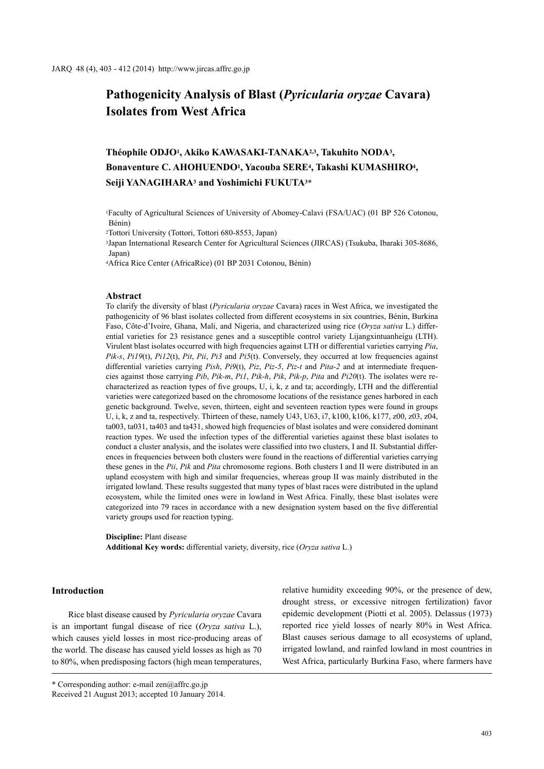# **Pathogenicity Analysis of Blast (***Pyricularia oryzae* **Cavara) Isolates from West Africa**

## **Théophile ODJO1, Akiko KAWASAKI-TANAKA2,3, Takuhito NODA3, Bonaventure C. AHOHUENDO1, Yacouba SERE4, Takashi KUMASHIRO4, Seiji YANAGIHARA3 and Yoshimichi FUKUTA3**\*

1Faculty of Agricultural Sciences of University of Abomey-Calavi (FSA/UAC) (01 BP 526 Cotonou, Bénin)

2Tottori University (Tottori, Tottori 680-8553, Japan)

3Japan International Research Center for Agricultural Sciences (JIRCAS) (Tsukuba, Ibaraki 305-8686, Japan)

4Africa Rice Center (AfricaRice) (01 BP 2031 Cotonou, Bénin)

#### **Abstract**

To clarify the diversity of blast (*Pyricularia oryzae* Cavara) races in West Africa, we investigated the pathogenicity of 96 blast isolates collected from different ecosystems in six countries, Bénin, Burkina Faso, Côte-d'Ivoire, Ghana, Mali, and Nigeria, and characterized using rice (*Oryza sativa* L.) differential varieties for 23 resistance genes and a susceptible control variety Lijangxintuanheigu (LTH). Virulent blast isolates occurred with high frequencies against LTH or differential varieties carrying *Pia*, *Pik-s*, *Pi19*(t), *Pi12*(t), *Pit*, *Pii*, *Pi3* and *Pi5*(t). Conversely, they occurred at low frequencies against differential varieties carrying *Pish*, *Pi9*(t), *Piz*, *Piz-5*, *Piz-t* and *Pita-2* and at intermediate frequencies against those carrying *Pib*, *Pik-m*, *Pi1*, *Pik-h*, *Pik*, *Pik-p*, *Pita* and *Pi20*(t). The isolates were recharacterized as reaction types of five groups, U, i, k, z and ta; accordingly, LTH and the differential varieties were categorized based on the chromosome locations of the resistance genes harbored in each genetic background. Twelve, seven, thirteen, eight and seventeen reaction types were found in groups U, i, k, z and ta, respectively. Thirteen of these, namely U43, U63, i7, k100, k106, k177, z00, z03, z04, ta003, ta031, ta403 and ta431, showed high frequencies of blast isolates and were considered dominant reaction types. We used the infection types of the differential varieties against these blast isolates to conduct a cluster analysis, and the isolates were classified into two clusters, I and II. Substantial differences in frequencies between both clusters were found in the reactions of differential varieties carrying these genes in the *Pii*, *Pik* and *Pita* chromosome regions. Both clusters I and II were distributed in an upland ecosystem with high and similar frequencies, whereas group II was mainly distributed in the irrigated lowland. These results suggested that many types of blast races were distributed in the upland ecosystem, while the limited ones were in lowland in West Africa. Finally, these blast isolates were categorized into 79 races in accordance with a new designation system based on the five differential variety groups used for reaction typing.

**Discipline:** Plant disease

**Additional Key words:** differential variety, diversity, rice (*Oryza sativa* L.)

### **Introduction**

Rice blast disease caused by *Pyricularia oryzae* Cavara is an important fungal disease of rice (*Oryza sativa* L.), which causes yield losses in most rice-producing areas of the world. The disease has caused yield losses as high as 70 to 80%, when predisposing factors (high mean temperatures,

relative humidity exceeding 90%, or the presence of dew, drought stress, or excessive nitrogen fertilization) favor epidemic development (Piotti et al. 2005). Delassus (1973) reported rice yield losses of nearly 80% in West Africa. Blast causes serious damage to all ecosystems of upland, irrigated lowland, and rainfed lowland in most countries in West Africa, particularly Burkina Faso, where farmers have

<sup>\*</sup> Corresponding author: e-mail zen@affrc.go.jp

Received 21 August 2013; accepted 10 January 2014.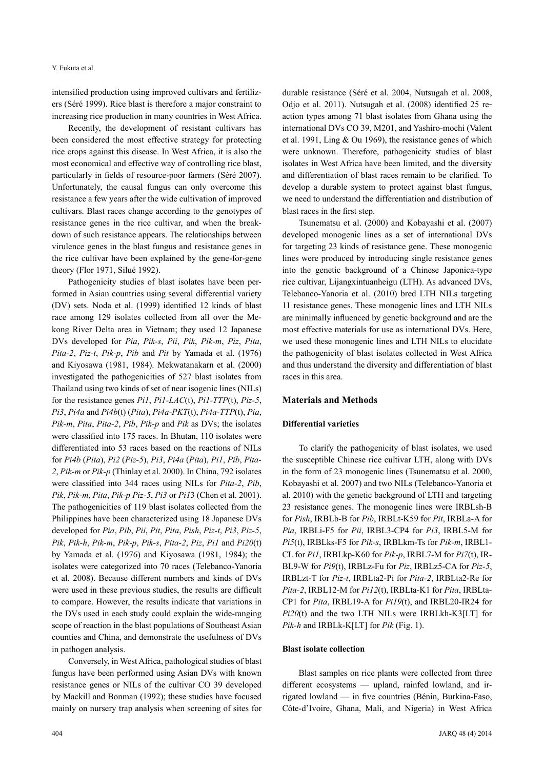intensified production using improved cultivars and fertilizers (Séré 1999). Rice blast is therefore a major constraint to increasing rice production in many countries in West Africa.

Recently, the development of resistant cultivars has been considered the most effective strategy for protecting rice crops against this disease. In West Africa, it is also the most economical and effective way of controlling rice blast, particularly in fields of resource-poor farmers (Séré 2007). Unfortunately, the causal fungus can only overcome this resistance a few years after the wide cultivation of improved cultivars. Blast races change according to the genotypes of resistance genes in the rice cultivar, and when the breakdown of such resistance appears. The relationships between virulence genes in the blast fungus and resistance genes in the rice cultivar have been explained by the gene-for-gene theory (Flor 1971, Silué 1992).

Pathogenicity studies of blast isolates have been performed in Asian countries using several differential variety (DV) sets. Noda et al. (1999) identified 12 kinds of blast race among 129 isolates collected from all over the Mekong River Delta area in Vietnam; they used 12 Japanese DVs developed for *Pia*, *Pik-s*, *Pii*, *Pik*, *Pik-m*, *Piz*, *Pita*, *Pita-2*, *Piz-t*, *Pik-p*, *Pib* and *Pit* by Yamada et al. (1976) and Kiyosawa (1981, 1984). Mekwatanakarn et al. (2000) investigated the pathogenicities of 527 blast isolates from Thailand using two kinds of set of near isogenic lines (NILs) for the resistance genes *Pi1*, *Pi1-LAC*(t), *Pi1-TTP*(t), *Piz-5*, *Pi3*, *Pi4a* and *Pi4b*(t) (*Pita*), *Pi4a-PKT*(t), *Pi4a-TTP*(t), *Pia*, *Pik-m*, *Pita*, *Pita-2*, *Pib*, *Pik-p* and *Pik* as DVs; the isolates were classified into 175 races. In Bhutan, 110 isolates were differentiated into 53 races based on the reactions of NILs for *Pi4b* (*Pita*), *Pi2* (*Piz-5*), *Pi3*, *Pi4a* (*Pita*), *Pi1*, *Pib*, *Pita-2*, *Pik-m* or *Pik-p* (Thinlay et al. 2000). In China, 792 isolates were classified into 344 races using NILs for *Pita-2*, *Pib*, *Pik*, *Pik-m*, *Pita*, *Pik-p Piz-5*, *Pi3* or *Pi1*3 (Chen et al. 2001). The pathogenicities of 119 blast isolates collected from the Philippines have been characterized using 18 Japanese DVs developed for *Pia*, *Pib*, *Pii*, *Pit*, *Pita*, *Pish*, *Piz-t*, *Pi3*, *Piz-5*, *Pik*, *Pik-h*, *Pik-m*, *Pik-p*, *Pik-s*, *Pita-2*, *Piz*, *Pi1* and *Pi20*(t) by Yamada et al. (1976) and Kiyosawa (1981, 1984); the isolates were categorized into 70 races (Telebanco-Yanoria et al. 2008). Because different numbers and kinds of DVs were used in these previous studies, the results are difficult to compare. However, the results indicate that variations in the DVs used in each study could explain the wide-ranging scope of reaction in the blast populations of Southeast Asian counties and China, and demonstrate the usefulness of DVs in pathogen analysis.

Conversely, in West Africa, pathological studies of blast fungus have been performed using Asian DVs with known resistance genes or NILs of the cultivar CO 39 developed by Mackill and Bonman (1992); these studies have focused mainly on nursery trap analysis when screening of sites for durable resistance (Séré et al. 2004, Nutsugah et al. 2008, Odjo et al. 2011). Nutsugah et al. (2008) identified 25 reaction types among 71 blast isolates from Ghana using the international DVs CO 39, M201, and Yashiro-mochi (Valent et al. 1991, Ling & Ou 1969), the resistance genes of which were unknown. Therefore, pathogenicity studies of blast isolates in West Africa have been limited, and the diversity and differentiation of blast races remain to be clarified. To develop a durable system to protect against blast fungus, we need to understand the differentiation and distribution of blast races in the first step.

Tsunematsu et al. (2000) and Kobayashi et al. (2007) developed monogenic lines as a set of international DVs for targeting 23 kinds of resistance gene. These monogenic lines were produced by introducing single resistance genes into the genetic background of a Chinese Japonica-type rice cultivar, Lijangxintuanheigu (LTH). As advanced DVs, Telebanco-Yanoria et al. (2010) bred LTH NILs targeting 11 resistance genes. These monogenic lines and LTH NILs are minimally influenced by genetic background and are the most effective materials for use as international DVs. Here, we used these monogenic lines and LTH NILs to elucidate the pathogenicity of blast isolates collected in West Africa and thus understand the diversity and differentiation of blast races in this area.

#### **Materials and Methods**

#### **Differential varieties**

To clarify the pathogenicity of blast isolates, we used the susceptible Chinese rice cultivar LTH, along with DVs in the form of 23 monogenic lines (Tsunematsu et al. 2000, Kobayashi et al. 2007) and two NILs (Telebanco-Yanoria et al. 2010) with the genetic background of LTH and targeting 23 resistance genes. The monogenic lines were IRBLsh-B for *Pish*, IRBLb-B for *Pib*, IRBLt-K59 for *Pit*, IRBLa-A for *Pia*, IRBLi-F5 for *Pii*, IRBL3-CP4 for *Pi3*, IRBL5-M for *Pi5*(t), IRBLks-F5 for *Pik-s*, IRBLkm-Ts for *Pik-m*, IRBL1- CL for *Pi1*, IRBLkp-K60 for *Pik-p*, IRBL7-M for *Pi7*(t), IR-BL9-W for *Pi9*(t), IRBLz-Fu for *Piz*, IRBLz5-CA for *Piz-5*, IRBLzt-T for *Piz-t*, IRBLta2-Pi for *Pita-2*, IRBLta2-Re for *Pita-2*, IRBL12-M for *Pi12*(t), IRBLta-K1 for *Pita*, IRBLta-CP1 for *Pita*, IRBL19-A for *Pi19*(t), and IRBL20-IR24 for *Pi20*(t) and the two LTH NILs were IRBLkh-K3[LT] for *Pik-h* and IRBLk-K[LT] for *Pik* (Fig. 1).

#### **Blast isolate collection**

Blast samples on rice plants were collected from three different ecosystems — upland, rainfed lowland, and irrigated lowland — in five countries (Bénin, Burkina-Faso, Côte-d'Ivoire, Ghana, Mali, and Nigeria) in West Africa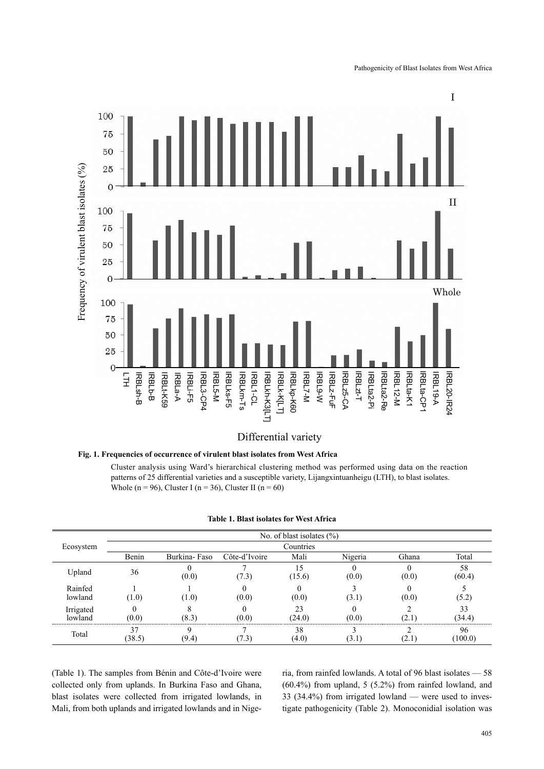

## Differential variety

## **Fig. 1. Frequencies of occurrence of virulent blast isolates from West Africa**

Cluster analysis using Ward's hierarchical clustering method was performed using data on the reaction patterns of 25 differential varieties and a susceptible variety, Lijangxintuanheigu (LTH), to blast isolates. Whole (n = 96), Cluster I (n = 36), Cluster II (n = 60)

|                      |        |              |               | No. of blast isolates $(\% )$ |         |       |              |
|----------------------|--------|--------------|---------------|-------------------------------|---------|-------|--------------|
| Ecosystem            |        |              |               | Countries                     |         |       |              |
|                      | Benin  | Burkina-Faso | Côte-d'Ivoire | Mali                          | Nigeria | Ghana | Total        |
| Upland               | 36     |              | 1.31          | 15.6                          | (0.0)   | (0.0) | 58<br>(60.4) |
| Rainfed<br>lowland   | (1.0)  | 1.0)         | (0.0)         | (0.0)                         |         | (0.0) |              |
| Irrigated<br>lowland | (0.0)  |              | (0.0)         | (24.0)                        | 70 O    |       | 34.4)        |
| Total                | (38.5) | (9.4)        |               | 38<br>(4.0)                   |         |       | 96<br>100.0  |

#### **Table 1. Blast isolates for West Africa**

(Table 1). The samples from Bénin and Côte-d'Ivoire were collected only from uplands. In Burkina Faso and Ghana, blast isolates were collected from irrigated lowlands, in Mali, from both uplands and irrigated lowlands and in Nigeria, from rainfed lowlands. A total of 96 blast isolates — 58  $(60.4\%)$  from upland, 5  $(5.2\%)$  from rainfed lowland, and 33 (34.4%) from irrigated lowland — were used to investigate pathogenicity (Table 2). Monoconidial isolation was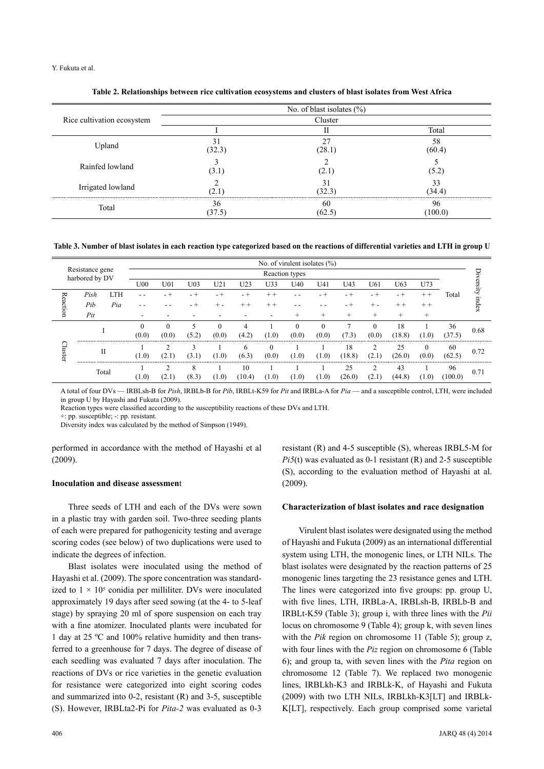Y. Fukuta et al.

|                            |              | No. of blast isolates $(\% )$ |              |
|----------------------------|--------------|-------------------------------|--------------|
| Rice cultivation ecosystem |              | Cluster                       |              |
|                            |              |                               | Total        |
| Upland                     | (32.3)       | (28.1)                        | 58<br>(60.4) |
| Rainfed lowland            | 3.1          | 2. I                          |              |
| Irrigated lowland          |              | (32.3)                        | 33<br>(34.4) |
| Total                      | 36<br>(37.5) | 60                            | 96<br>100.0  |

**Table 2. Relationships between rice cultivation ecosystems and clusters of blast isolates from West Africa**

**Table 3. Number of blast isolates in each reaction type categorized based on the reactions of differential varieties and LTH in group U**

|                                   |     |       |       |          |                 |          |              |       | No. of virulent isolates $(\%)$ |          |                 |          |        |               |         |        |
|-----------------------------------|-----|-------|-------|----------|-----------------|----------|--------------|-------|---------------------------------|----------|-----------------|----------|--------|---------------|---------|--------|
| Resistance gene<br>harbored by DV |     |       |       |          |                 |          |              |       | Reaction types                  |          |                 |          |        |               |         |        |
|                                   |     |       | U00   | U01      | U <sub>03</sub> | U21      | U23          | U33   | U40                             | U41      | U <sub>43</sub> | U61      | U63    | U73           |         | ersity |
| LTH<br>Pish<br>≂                  |     |       |       | - +      |                 |          | $+ +$        |       |                                 |          |                 |          |        | Total         |         |        |
| eaction                           | Pib | Pia   | - -   |          |                 |          |              | $+ +$ |                                 |          |                 |          | $+ +$  |               |         | index  |
|                                   | Pit |       |       |          |                 |          |              |       |                                 |          |                 |          |        |               |         |        |
|                                   |     |       |       | $\Omega$ |                 | $\theta$ |              |       | $\Omega$                        | $\theta$ |                 | $\Omega$ | 18     |               | 36      | 0.68   |
|                                   |     |       | (0.0) | (0.0)    | (5.2)           | (0.0)    | (4.2)        | (1.0) | (0.0)                           | (0.0)    | 7.3             | (0.0)    | (18.8) | (1.0)         | (37.5)  |        |
|                                   |     | П     |       | ∍        |                 |          | <sub>6</sub> |       |                                 |          | 18              |          | 25     | $\mathcal{C}$ | 60      | 0.72   |
| Cluster                           |     |       | (1.0) | (2.1)    | (3.1)           | (1.0)    | (6.3)        | (0.0) | (1.0)                           | (1.0)    | (18.8)          | (2.1)    | (26.0) | (0.0)         | (62.5)  |        |
|                                   |     | Total |       | h        | 8               |          | 10           |       |                                 |          | 25              | ◠        | 43     |               | 96      | 0.71   |
|                                   |     |       | (1.0) |          | (8.3)           | (1.0)    | (10.4)       | (1.0) | (1.0)                           | (1.0)    | (26.0)          | (2.1)    | (44.8) | (1.0)         | (100.0) |        |

A total of four DVs — IRBLsh-B for *Pish*, IRBLb-B for *Pib*, IRBLt-K59 for *Pit* and IRBLa-A for *Pia* — and a susceptible control, LTH, were included in group U by Hayashi and Fukuta (2009).

Reaction types were classified according to the susceptibility reactions of these DVs and LTH.

+: pp. susceptible; -: pp. resistant.

Diversity index was calculated by the method of Simpson (1949).

performed in accordance with the method of Hayashi et al (2009).

#### **Inoculation and disease assessmen**t

Three seeds of LTH and each of the DVs were sown in a plastic tray with garden soil. Two-three seeding plants of each were prepared for pathogenicity testing and average scoring codes (see below) of two duplications were used to indicate the degrees of infection.

Blast isolates were inoculated using the method of Hayashi et al. (2009). The spore concentration was standardized to  $1 \times 10^5$  conidia per milliliter. DVs were inoculated approximately 19 days after seed sowing (at the 4- to 5-leaf stage) by spraying 20 ml of spore suspension on each tray with a fine atomizer. Inoculated plants were incubated for 1 day at 25 ºC and 100% relative humidity and then transferred to a greenhouse for 7 days. The degree of disease of each seedling was evaluated 7 days after inoculation. The reactions of DVs or rice varieties in the genetic evaluation for resistance were categorized into eight scoring codes and summarized into 0-2, resistant (R) and 3-5, susceptible (S). However, IRBLta2-Pi for *Pita-2* was evaluated as 0-3

resistant (R) and 4-5 susceptible (S), whereas IRBL5-M for *Pi5*(t) was evaluated as 0-1 resistant (R) and 2-5 susceptible (S), according to the evaluation method of Hayashi at al. (2009).

#### **Characterization of blast isolates and race designation**

Virulent blast isolates were designated using the method of Hayashi and Fukuta (2009) as an international differential system using LTH, the monogenic lines, or LTH NILs. The blast isolates were designated by the reaction patterns of 25 monogenic lines targeting the 23 resistance genes and LTH. The lines were categorized into five groups: pp. group U, with five lines, LTH, IRBLa-A, IRBLsh-B, IRBLb-B and IRBLt-K59 (Table 3); group i, with three lines with the *Pii* locus on chromosome 9 (Table 4); group k, with seven lines with the *Pik* region on chromosome 11 (Table 5); group z, with four lines with the *Piz* region on chromosome 6 (Table 6); and group ta, with seven lines with the *Pita* region on chromosome 12 (Table 7). We replaced two monogenic lines, IRBLkh-K3 and IRBLk-K, of Hayashi and Fukuta (2009) with two LTH NILs, IRBLkh-K3[LT] and IRBLk-K[LT], respectively. Each group comprised some varietal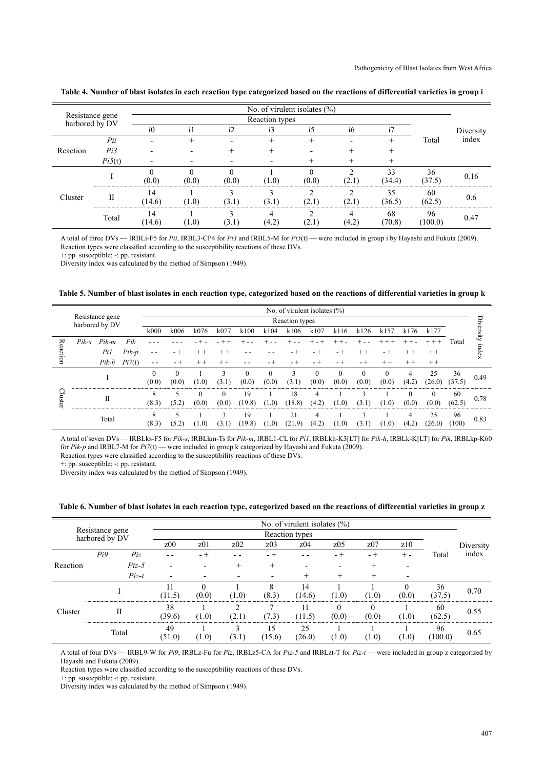|                                   |        |                |                |              | No. of virulent isolates $(\% )$ |       |                          |        |         |               |  |
|-----------------------------------|--------|----------------|----------------|--------------|----------------------------------|-------|--------------------------|--------|---------|---------------|--|
| Resistance gene<br>harbored by DV |        |                | Reaction types |              |                                  |       |                          |        |         |               |  |
|                                   |        | i <sub>0</sub> | $\mathbf{1}$   | $\mathbf{i}$ |                                  | i5    | 16                       |        |         | Diversity     |  |
|                                   | Pii    |                |                |              |                                  |       |                          |        | Total   | index         |  |
| Reaction                          | Pi3    |                |                |              |                                  |       |                          |        |         |               |  |
|                                   | Pi5(t) |                |                |              |                                  |       |                          |        |         |               |  |
|                                   |        |                |                |              |                                  |       |                          |        | 36      | 0.16          |  |
|                                   |        | (0.0)          | (0.0)          | (0.0)        | $\Omega$                         | (0.0) | $\overline{\phantom{a}}$ | (34.4) | (37.5)  |               |  |
| Cluster                           | Н      |                |                |              |                                  |       |                          |        | 60      |               |  |
|                                   |        | 14.6)          | (1.0)          |              |                                  |       |                          | (36.5) | (62.5   |               |  |
|                                   | Total  |                |                |              |                                  |       |                          | 68     | 96      |               |  |
|                                   |        | 14.6           | $1.0^{\circ}$  |              |                                  |       | '4.2                     | 70.8)  | (100.0) | $0.4^{\circ}$ |  |

**Table 4. Number of blast isolates in each reaction type categorized based on the reactions of differential varieties in group i**

A total of three DVs — IRBLi-F5 for *Pii*, IRBL3-CP4 for *Pi3* and IRBL5-M for *Pi5*(t) — were included in group i by Hayashi and Fukuta (2009). Reaction types were classified according to the susceptibility reactions of these DVs.

+: pp. susceptible; -: pp. resistant.

Diversity index was calculated by the method of Simpson (1949).

#### **Table 5. Number of blast isolates in each reaction type, categorized based on the reactions of differential varieties in group k**

|                                   |       |         |        |          |                |       |          |        |          | No. of virulent isolates $(\% )$ |       |          |       |       |       |        |        |        |
|-----------------------------------|-------|---------|--------|----------|----------------|-------|----------|--------|----------|----------------------------------|-------|----------|-------|-------|-------|--------|--------|--------|
| Resistance gene<br>harbored by DV |       |         |        |          | Reaction types |       |          |        |          |                                  |       |          |       |       |       |        |        |        |
|                                   |       |         |        | k000     | k006           | k076  | k077     | k100   | k104     | k106                             | k107  | k116     | k126  | k157  | k176  | k177   |        | ersity |
| ≂                                 | Pik-s | $Pik-m$ | Pik    |          |                |       |          |        |          |                                  |       |          |       |       |       |        | Total  |        |
| Ő5.<br>⋍                          |       | Pil     | Pik-p  |          |                |       |          |        |          |                                  |       |          |       |       |       |        |        | index  |
| ⋍                                 |       | Pik-h   | Pi7(t) |          |                |       |          |        |          |                                  |       |          |       |       |       |        |        |        |
|                                   |       |         |        | $\Omega$ |                |       | 3        | 0      | $\theta$ | 3                                |       |          |       |       |       | 25     | 36     | 0.49   |
|                                   |       |         |        | (0.0)    | 70 O)          | 7 O   | (3.      | (0.0)  | (0.0)    | (3.1)                            | (0.0) | (0.0)    | (0.0) | (0.0) | (4.2) | (26.0) | (37.5) |        |
|                                   |       | П       |        | 8        |                |       | $\theta$ | 19     |          | 18                               | 4     |          |       |       |       |        | 60     | 0.78   |
| in.<br>ᠬ<br>⊶                     |       |         |        | 8        |                | (0.0) | (0.0)    | (19.8) | (1.0)    | (18.8)                           | (4.2  | $\Omega$ | 3.    | (1.0) | (0.0) | (0.0)  | (62.5) |        |
|                                   |       | Total   |        | 8        |                |       |          | 19     |          | 21                               |       |          |       |       |       | 25     | 96     | 0.83   |
|                                   |       |         |        | (8.3)    |                |       | 3.       | (19.8) | (1.0)    | (21<br>-91                       | (4.2) | (1.0)    | 13.   | (1.0) | (4.2  | (26.0) | (100)  |        |

A total of seven DVs — IRBLks-F5 for *Pik-s*, IRBLkm-Ts for *Pik-m*, IRBL1-CL for *Pi1*, IRBLkh-K3[LT] for *Pik-h*, IRBLk-K[LT] for *Pik*, IRBLkp-K60 for *Pik-p* and IRBL7-M for *Pi7*(t) — were included in group k categorized by Hayashi and Fukuta (2009).

Reaction types were classified according to the susceptibility reactions of these DVs. +: pp. susceptible; -: pp. resistant.

Diversity index was calculated by the method of Simpson (1949).

**Table 6. Number of blast isolates in each reaction type, categorized based on the reactions of differential varieties in group z**

|                                   |     |         |                 |                 |       |                 | No. of virulent isolates $(\% )$ |               |          |       |               |           |  |
|-----------------------------------|-----|---------|-----------------|-----------------|-------|-----------------|----------------------------------|---------------|----------|-------|---------------|-----------|--|
| Resistance gene<br>harbored by DV |     |         |                 | Reaction types  |       |                 |                                  |               |          |       |               |           |  |
|                                   |     |         | z <sub>00</sub> | z <sub>01</sub> | z02   | z <sub>03</sub> | z <sub>04</sub>                  | z05           | z07      | z10   |               | Diversity |  |
|                                   | Pi9 | Piz     |                 |                 |       |                 |                                  |               |          |       | Total         | index     |  |
| Reaction                          |     | $Piz-5$ |                 |                 |       |                 |                                  |               |          |       |               |           |  |
|                                   |     | $Piz-t$ |                 |                 |       |                 |                                  |               |          |       |               |           |  |
|                                   |     |         |                 | (0.0)           | (1.0) | (8.3)           | 14<br>14.6)                      | (1.0)         | $\Omega$ | (0.0) | 36<br>(37.5)  | 0.70      |  |
| Cluster                           |     | П       | 38<br>39.61     | $1.0^{\circ}$   |       | $\rightarrow$   | $\leq$                           | 00)           | 00       |       | 60<br>(62.5)  | 0.55      |  |
|                                   |     | Total   | 49<br>51.0      | [1.0]           |       | 15<br>15.6)     | 25<br>26.0)                      | $1.0^{\circ}$ | .0)      | (1.0) | 96<br>(100.0) | 0.65      |  |

A total of four DVs — IRBL9-W for *Pi9*, IRBLz-Fu for *Piz*, IRBLz5-CA for *Piz-5* and IRBLzt-T for *Piz-t* — were included in group z categorized by Hayashi and Fukuta (2009).

Reaction types were classified according to the susceptibility reactions of these DVs.

+: pp. susceptible; -: pp. resistant.

Diversity index was calculated by the method of Simpson (1949).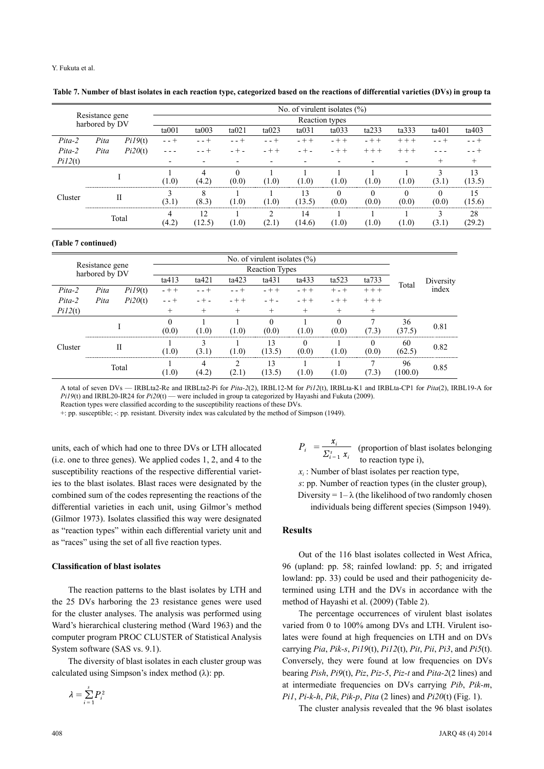Y. Fukuta et al.

|          |                                   |         |         |                |          |                 | No. of virulent isolates $(\% )$ |         |                          |          |       |        |  |  |  |  |
|----------|-----------------------------------|---------|---------|----------------|----------|-----------------|----------------------------------|---------|--------------------------|----------|-------|--------|--|--|--|--|
|          | Resistance gene<br>harbored by DV |         |         | Reaction types |          |                 |                                  |         |                          |          |       |        |  |  |  |  |
|          |                                   |         | ta001   | ta003          | ta021    | ta023           | ta031                            | ta033   | ta233                    | ta333    | ta401 | ta403  |  |  |  |  |
| $Pita-2$ | Pita                              | Pi19(t) | $- - +$ |                |          | - - +           | $-++$                            | $- + +$ | $- + +$                  | $+ + +$  |       |        |  |  |  |  |
| $Pita-2$ | Pita                              | Pi20(t) |         |                |          |                 | - + -                            | $- + +$ | $+ + +$                  | $++$     |       |        |  |  |  |  |
| Pi12(t)  |                                   |         |         |                |          |                 |                                  |         | $\overline{\phantom{0}}$ |          |       |        |  |  |  |  |
|          |                                   |         |         |                | $\Omega$ |                 |                                  |         |                          |          |       | 13     |  |  |  |  |
|          |                                   |         | (1.0)   | (4.2)          | (0.0)    | (1.0)           | (1.0)                            | 1.0)    | $\Omega$                 | (1.0)    | (3.1  | (13.5) |  |  |  |  |
| Cluster  |                                   | П       |         |                |          |                 | 3                                |         |                          | $\theta$ |       | 15     |  |  |  |  |
|          |                                   |         | 3.1     | (8.3)          | (1.0)    | ( U . U         | $13.5^{\circ}$                   | (0.0)   | (0.0)                    | (0.0)    | (0.0) | 15.6)  |  |  |  |  |
|          |                                   |         | 4       | 12             |          | ◠               | $\overline{4}$                   |         |                          |          |       | 28     |  |  |  |  |
|          | Total                             |         | (4.2)   | 12.51          | (1.0)    | $^{\prime}$ 2.1 | [14.6]                           | 1.0)    | (1.0)                    | (1.0)    | (3.1) | (29.2) |  |  |  |  |

**Table 7. Number of blast isolates in each reaction type, categorized based on the reactions of differential varieties (DVs) in group ta**

#### **(Table 7 continued)**

|                                   |      |         |                       |       |        | No. of virulent isolates $(\% )$ |         |           |           |        |           |
|-----------------------------------|------|---------|-----------------------|-------|--------|----------------------------------|---------|-----------|-----------|--------|-----------|
| Resistance gene<br>harbored by DV |      |         | <b>Reaction Types</b> |       |        |                                  |         |           |           |        |           |
|                                   |      |         | ta413                 | ta421 | ta423  | ta431                            | ta433   | ta523     | ta733     | Total  | Diversity |
| Pita-2                            | Pita | PiI9(t) | $- + +$               |       |        | $- + +$                          | $- + +$ | $+$ - $+$ | $++ +$    |        | index     |
| $Pita-2$                          | Pita | Pi20(t) |                       |       |        |                                  | $- + +$ | $+ +$     | $+ + +$   |        |           |
| Pi12(t)                           |      |         | $^+$                  | $^+$  | $^{+}$ | $^{+}$                           | $^{+}$  | $^{+}$    | $^+$      |        |           |
|                                   |      |         |                       |       |        |                                  |         |           |           | 36     | 0.81      |
|                                   |      |         | (0.0)                 | (1.0) | (1.0)  | (0.0)                            | (1.0)   | (0.0)     | (.3)      | (37.5) |           |
| Cluster                           |      | Н       |                       |       |        | 13                               |         |           |           | 60     | 0.82      |
|                                   |      |         | 1.0)                  | 3 I   | (1.0)  | (13.5)                           | (0,0)   | 0.1       | (0.0)     | (62.5) |           |
|                                   |      | Total   |                       |       | ◠      | 13                               |         |           |           | 96     | 0.85      |
|                                   |      |         | 1.01                  | 4.2   | ∼      | (13.5)                           | .0)     | $\cdot$ 0 | $\cdot$ 5 | 100.0  |           |

A total of seven DVs — IRBLta2-Re and IRBLta2-Pi for *Pita-2*(2), IRBL12-M for *Pi12*(t), IRBLta-K1 and IRBLta-CP1 for *Pita*(2), IRBL19-A for *Pi19*(t) and IRBL20-IR24 for *Pi20*(t) — were included in group ta categorized by Hayashi and Fukuta (2009).

Reaction types were classified according to the susceptibility reactions of these DVs.

+: pp. susceptible; -: pp. resistant. Diversity index was calculated by the method of Simpson (1949).

units, each of which had one to three DVs or LTH allocated (i.e. one to three genes). We applied codes 1, 2, and 4 to the susceptibility reactions of the respective differential varieties to the blast isolates. Blast races were designated by the combined sum of the codes representing the reactions of the differential varieties in each unit, using Gilmor's method (Gilmor 1973). Isolates classified this way were designated as "reaction types" within each differential variety unit and as "races" using the set of all five reaction types.

#### **Classification of blast isolates**

The reaction patterns to the blast isolates by LTH and the 25 DVs harboring the 23 resistance genes were used for the cluster analyses. The analysis was performed using Ward's hierarchical clustering method (Ward 1963) and the computer program PROC CLUSTER of Statistical Analysis System software (SAS vs. 9.1).

The diversity of blast isolates in each cluster group was calculated using Simpson's index method  $(\lambda)$ : pp.

 $P_i = \frac{V_i}{\sum_{i=1}^{n} V_i}$  (proportion of blast isolates belonging to reaction type i),

*xi* : Number of blast isolates per reaction type,

*s*: pp. Number of reaction types (in the cluster group),

Diversity =  $1-\lambda$  (the likelihood of two randomly chosen individuals being different species (Simpson 1949).

#### **Results**

Out of the 116 blast isolates collected in West Africa, 96 (upland: pp. 58; rainfed lowland: pp. 5; and irrigated lowland: pp. 33) could be used and their pathogenicity determined using LTH and the DVs in accordance with the method of Hayashi et al. (2009) (Table 2).

The percentage occurrences of virulent blast isolates varied from 0 to 100% among DVs and LTH. Virulent isolates were found at high frequencies on LTH and on DVs carrying *Pia*, *Pik-s*, *Pi19*(t), *Pi12*(t), *Pit*, *Pii*, *Pi3*, and *Pi5*(t). Conversely, they were found at low frequencies on DVs bearing *Pish*, *Pi9*(t), *Piz*, *Piz-5*, *Piz-t* and *Pita-2*(2 lines) and at intermediate frequencies on DVs carrying *Pib*, *Pik-m*, *Pi1*, *Pi-k-h*, *Pik*, *Pik-p*, *Pita* (2 lines) and *Pi20*(t) (Fig. 1).

The cluster analysis revealed that the 96 blast isolates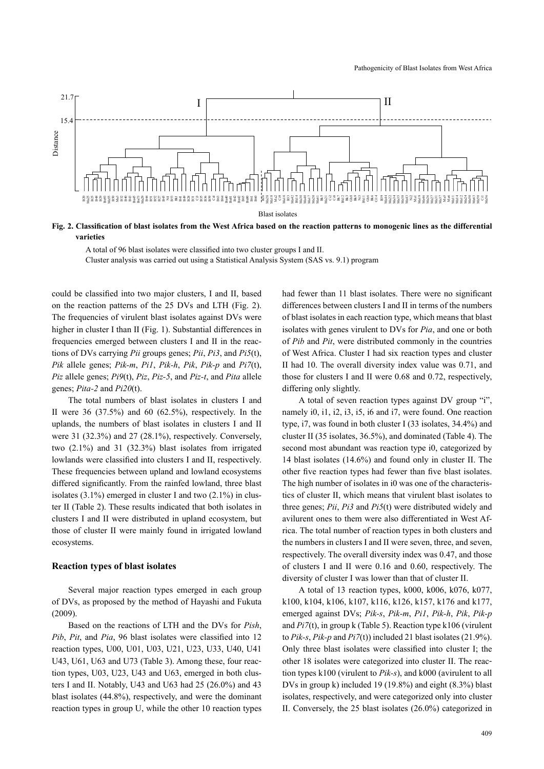

**Fig. 2. Classification of blast isolates from the West Africa based on the reaction patterns to monogenic lines as the differential varieties**

A total of 96 blast isolates were classified into two cluster groups I and II. Cluster analysis was carried out using a Statistical Analysis System (SAS vs. 9.1) program

could be classified into two major clusters, I and II, based on the reaction patterns of the 25 DVs and LTH (Fig. 2). The frequencies of virulent blast isolates against DVs were higher in cluster I than II (Fig. 1). Substantial differences in frequencies emerged between clusters I and II in the reactions of DVs carrying *Pii* groups genes; *Pii*, *Pi3*, and *Pi5*(t), *Pik* allele genes; *Pik-m*, *Pi1*, *Pik-h*, *Pik*, *Pik-p* and *Pi7*(t), *Piz* allele genes; *Pi9*(t), *Piz*, *Piz-5*, and *Piz-t*, and *Pita* allele genes; *Pita-2* and *Pi20*(t).

The total numbers of blast isolates in clusters I and II were  $36$   $(37.5\%)$  and  $60$   $(62.5\%)$ , respectively. In the uplands, the numbers of blast isolates in clusters I and II were 31 (32.3%) and 27 (28.1%), respectively. Conversely, two (2.1%) and 31 (32.3%) blast isolates from irrigated lowlands were classified into clusters I and II, respectively. These frequencies between upland and lowland ecosystems differed significantly. From the rainfed lowland, three blast isolates  $(3.1\%)$  emerged in cluster I and two  $(2.1\%)$  in cluster II (Table 2). These results indicated that both isolates in clusters I and II were distributed in upland ecosystem, but those of cluster II were mainly found in irrigated lowland ecosystems.

#### **Reaction types of blast isolates**

Several major reaction types emerged in each group of DVs, as proposed by the method of Hayashi and Fukuta (2009).

Based on the reactions of LTH and the DVs for *Pish*, *Pib*, *Pit*, and *Pia*, 96 blast isolates were classified into 12 reaction types, U00, U01, U03, U21, U23, U33, U40, U41 U43, U61, U63 and U73 (Table 3). Among these, four reaction types, U03, U23, U43 and U63, emerged in both clusters I and II. Notably, U43 and U63 had 25 (26.0%) and 43 blast isolates (44.8%), respectively, and were the dominant reaction types in group U, while the other 10 reaction types had fewer than 11 blast isolates. There were no significant differences between clusters I and II in terms of the numbers of blast isolates in each reaction type, which means that blast isolates with genes virulent to DVs for *Pia*, and one or both of *Pib* and *Pit*, were distributed commonly in the countries of West Africa. Cluster I had six reaction types and cluster II had 10. The overall diversity index value was 0.71, and those for clusters I and II were 0.68 and 0.72, respectively, differing only slightly.

A total of seven reaction types against DV group "i", namely i0, i1, i2, i3, i5, i6 and i7, were found. One reaction type, i7, was found in both cluster I (33 isolates, 34.4%) and cluster II (35 isolates, 36.5%), and dominated (Table 4). The second most abundant was reaction type i0, categorized by 14 blast isolates (14.6%) and found only in cluster II. The other five reaction types had fewer than five blast isolates. The high number of isolates in i0 was one of the characteristics of cluster II, which means that virulent blast isolates to three genes; *Pii*, *Pi3* and *Pi5*(t) were distributed widely and avilurent ones to them were also differentiated in West Africa. The total number of reaction types in both clusters and the numbers in clusters I and II were seven, three, and seven, respectively. The overall diversity index was 0.47, and those of clusters I and II were 0.16 and 0.60, respectively. The diversity of cluster I was lower than that of cluster II.

A total of 13 reaction types, k000, k006, k076, k077, k100, k104, k106, k107, k116, k126, k157, k176 and k177, emerged against DVs; *Pik-s*, *Pik-m*, *Pi1*, *Pik-h*, *Pik*, *Pik-p* and *Pi7*(t), in group k (Table 5). Reaction type k106 (virulent to *Pik-s*, *Pik-p* and *Pi7*(t)) included 21 blast isolates (21.9%). Only three blast isolates were classified into cluster I; the other 18 isolates were categorized into cluster II. The reaction types k100 (virulent to *Pik-s*), and k000 (avirulent to all DVs in group k) included 19 (19.8%) and eight (8.3%) blast isolates, respectively, and were categorized only into cluster II. Conversely, the 25 blast isolates (26.0%) categorized in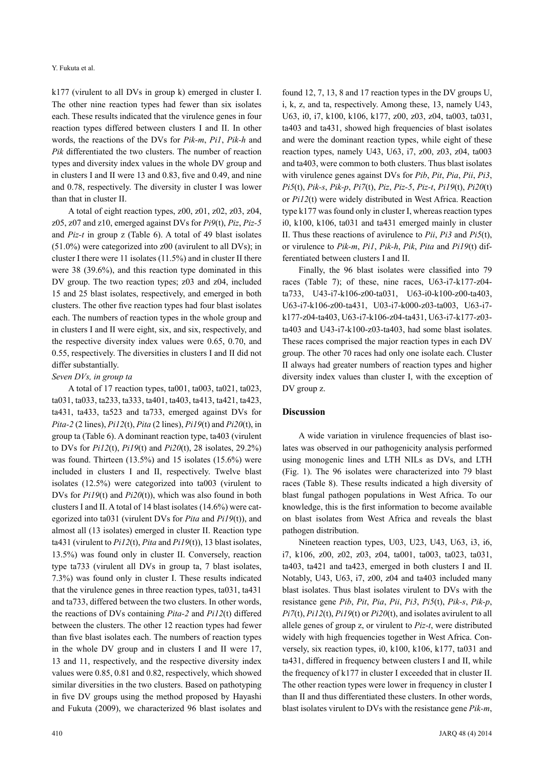k177 (virulent to all DVs in group k) emerged in cluster I. The other nine reaction types had fewer than six isolates each. These results indicated that the virulence genes in four reaction types differed between clusters I and II. In other words, the reactions of the DVs for *Pik-m*, *Pi1*, *Pik-h* and *Pik* differentiated the two clusters. The number of reaction types and diversity index values in the whole DV group and in clusters I and II were 13 and 0.83, five and 0.49, and nine and 0.78, respectively. The diversity in cluster I was lower than that in cluster II.

A total of eight reaction types, z00, z01, z02, z03, z04, z05, z07 and z10, emerged against DVs for *Pi9*(t), *Piz*, *Piz-5* and *Piz-t* in group z (Table 6). A total of 49 blast isolates (51.0%) were categorized into z00 (avirulent to all DVs); in cluster I there were 11 isolates (11.5%) and in cluster II there were 38 (39.6%), and this reaction type dominated in this DV group. The two reaction types; z03 and z04, included 15 and 25 blast isolates, respectively, and emerged in both clusters. The other five reaction types had four blast isolates each. The numbers of reaction types in the whole group and in clusters I and II were eight, six, and six, respectively, and the respective diversity index values were 0.65, 0.70, and 0.55, respectively. The diversities in clusters I and II did not differ substantially.

#### *Seven DVs, in group ta*

A total of 17 reaction types, ta001, ta003, ta021, ta023, ta031, ta033, ta233, ta333, ta401, ta403, ta413, ta421, ta423, ta431, ta433, ta523 and ta733, emerged against DVs for *Pita-2* (2 lines), *Pi12*(t), *Pita* (2 lines), *Pi19*(t) and *Pi20*(t), in group ta (Table 6). A dominant reaction type, ta403 (virulent to DVs for *Pi12*(t), *Pi19*(t) and *Pi20*(t), 28 isolates, 29.2%) was found. Thirteen (13.5%) and 15 isolates (15.6%) were included in clusters I and II, respectively. Twelve blast isolates (12.5%) were categorized into ta003 (virulent to DVs for *Pi19*(t) and *Pi20*(t)), which was also found in both clusters I and II. A total of 14 blast isolates (14.6%) were categorized into ta031 (virulent DVs for *Pita* and *Pi19*(t)), and almost all (13 isolates) emerged in cluster II. Reaction type ta431 (virulent to *Pi12*(t), *Pita* and *Pi19*(t)), 13 blast isolates, 13.5%) was found only in cluster II. Conversely, reaction type ta733 (virulent all DVs in group ta, 7 blast isolates, 7.3%) was found only in cluster I. These results indicated that the virulence genes in three reaction types, ta031, ta431 and ta733, differed between the two clusters. In other words, the reactions of DVs containing *Pita-2* and *Pi12*(t) differed between the clusters. The other 12 reaction types had fewer than five blast isolates each. The numbers of reaction types in the whole DV group and in clusters I and II were 17, 13 and 11, respectively, and the respective diversity index values were 0.85, 0.81 and 0.82, respectively, which showed similar diversities in the two clusters. Based on pathotyping in five DV groups using the method proposed by Hayashi and Fukuta (2009), we characterized 96 blast isolates and

found 12, 7, 13, 8 and 17 reaction types in the DV groups U, i, k, z, and ta, respectively. Among these, 13, namely U43, U63, i0, i7, k100, k106, k177, z00, z03, z04, ta003, ta031, ta403 and ta431, showed high frequencies of blast isolates and were the dominant reaction types, while eight of these reaction types, namely U43, U63, i7, z00, z03, z04, ta003 and ta403, were common to both clusters. Thus blast isolates with virulence genes against DVs for *Pib*, *Pit*, *Pia*, *Pii*, *Pi3*, *Pi5*(t), *Pik-s*, *Pik-p*, *Pi7*(t), *Piz*, *Piz-5*, *Piz-t*, *Pi19*(t), *Pi20*(t) or *Pi12*(t) were widely distributed in West Africa. Reaction type k177 was found only in cluster I, whereas reaction types i0, k100, k106, ta031 and ta431 emerged mainly in cluster II. Thus these reactions of avirulence to *Pii*, *Pi3* and *Pi5*(t), or virulence to *Pik-m*, *Pi1*, *Pik-h*, *Pik*, *Pita* and *Pi19*(t) differentiated between clusters I and II.

Finally, the 96 blast isolates were classified into 79 races (Table 7); of these, nine races, U63-i7-k177-z04 ta733, U43-i7-k106-z00-ta031, U63-i0-k100-z00-ta403, U63-i7-k106-z00-ta431, U03-i7-k000-z03-ta003, U63-i7 k177-z04-ta403, U63-i7-k106-z04-ta431, U63-i7-k177-z03 ta403 and U43-i7-k100-z03-ta403, had some blast isolates. These races comprised the major reaction types in each DV group. The other 70 races had only one isolate each. Cluster II always had greater numbers of reaction types and higher diversity index values than cluster I, with the exception of DV group z.

#### **Discussion**

A wide variation in virulence frequencies of blast isolates was observed in our pathogenicity analysis performed using monogenic lines and LTH NILs as DVs, and LTH (Fig. 1). The 96 isolates were characterized into 79 blast races (Table 8). These results indicated a high diversity of blast fungal pathogen populations in West Africa. To our knowledge, this is the first information to become available on blast isolates from West Africa and reveals the blast pathogen distribution.

Nineteen reaction types, U03, U23, U43, U63, i3, i6, i7, k106, z00, z02, z03, z04, ta001, ta003, ta023, ta031, ta403, ta421 and ta423, emerged in both clusters I and II. Notably, U43, U63, i7, z00, z04 and ta403 included many blast isolates. Thus blast isolates virulent to DVs with the resistance gene *Pib*, *Pit*, *Pia*, *Pii*, *Pi3*, *Pi5*(t), *Pik-s*, *Pik-p*, *Pi7*(t), *Pi12*(t), *Pi19*(t) or *Pi20*(t), and isolates avirulent to all allele genes of group z, or virulent to *Piz-t*, were distributed widely with high frequencies together in West Africa. Conversely, six reaction types, i0, k100, k106, k177, ta031 and ta431, differed in frequency between clusters I and II, while the frequency of k177 in cluster I exceeded that in cluster II. The other reaction types were lower in frequency in cluster I than II and thus differentiated these clusters. In other words, blast isolates virulent to DVs with the resistance gene *Pik-m*,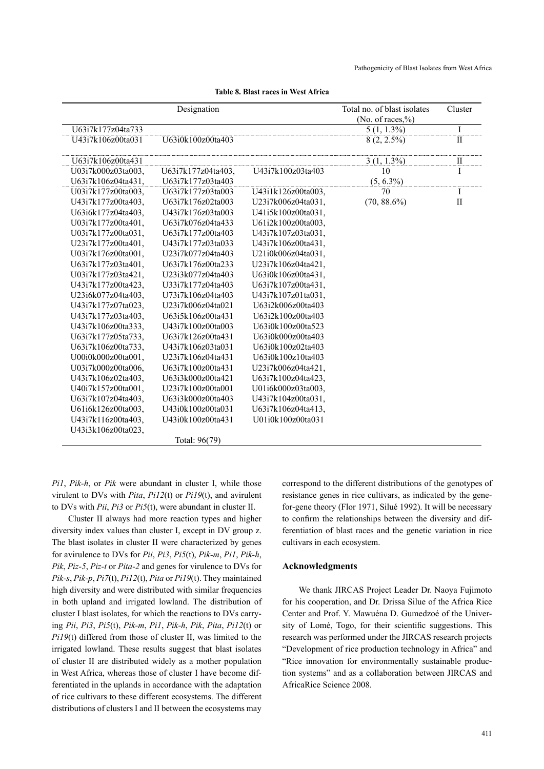|                    | Designation        |                    | Total no. of blast isolates | Cluster         |
|--------------------|--------------------|--------------------|-----------------------------|-----------------|
|                    |                    |                    | (No. of races,%)            |                 |
| U63i7k177z04ta733  |                    |                    | $5(1, 1.3\%)$               | $\overline{I}$  |
| U43i7k106z00ta031  | U63i0k100z00ta403  |                    | $8(2, 2.5\%)$               | $\mathbf I$     |
| U63i7k106z00ta431  |                    |                    | $3(1, 1.3\%)$               |                 |
| U03i7k000z03ta003, | U63i7k177z04ta403, | U43i7k100z03ta403  | 10                          | $\frac{\Pi}{I}$ |
| U63i7k106z04ta431, | U63i7k177z03ta403  |                    | $(5, 6.3\%)$                |                 |
| U03i7k177z00ta003, | U63i7k177z03ta003  | U43i1k126z00ta003, | 70                          | I               |
| U43i7k177z00ta403, | U63i7k176z02ta003  | U23i7k006z04ta031, | $(70, 88.6\%)$              | $\mathbf{I}$    |
| U63i6k177z04ta403, | U43i7k176z03ta003  | U41i5k100z00ta031, |                             |                 |
| U03i7k177z00ta401, | U63i7k076z04ta433  | U61i2k100z00ta003, |                             |                 |
| U03i7k177z00ta031, | U63i7k177z00ta403  | U43i7k107z03ta031, |                             |                 |
| U23i7k177z00ta401, | U43i7k177z03ta033  | U43i7k106z00ta431, |                             |                 |
| U03i7k176z00ta001, | U23i7k077z04ta403  | U21i0k006z04ta031, |                             |                 |
| U63i7k177z03ta401, | U63i7k176z00ta233  | U23i7k106z04ta421. |                             |                 |
| U03i7k177z03ta421, | U23i3k077z04ta403  | U63i0k106z00ta431, |                             |                 |
| U43i7k177z00ta423, | U33i7k177z04ta403  | U63i7k107z00ta431, |                             |                 |
| U23i6k077z04ta403, | U73i7k106z04ta403  | U43i7k107z01ta031, |                             |                 |
| U43i7k177z07ta023, | U23i7k006z04ta021  | U63i2k006z00ta403  |                             |                 |
| U43i7k177z03ta403. | U63i5k106z00ta431  | U63i2k100z00ta403  |                             |                 |
| U43i7k106z00ta333, | U43i7k100z00ta003  | U63i0k100z00ta523  |                             |                 |
| U63i7k177z05ta733. | U63i7k126z00ta431  | U63i0k000z00ta403  |                             |                 |
| U63i7k106z00ta733, | U43i7k106z03ta031  | U63i0k100z02ta403  |                             |                 |
| U00i0k000z00ta001, | U23i7k106z04ta431  | U63i0k100z10ta403  |                             |                 |
| U03i7k000z00ta006. | U63i7k100z00ta431  | U23i7k006z04ta421, |                             |                 |
| U43i7k106z02ta403, | U63i3k000z00ta421  | U63i7k100z04ta423, |                             |                 |
| U40i7k157z00ta001, | U23i7k100z00ta001  | U01i6k000z03ta003, |                             |                 |
| U63i7k107z04ta403, | U63i3k000z00ta403  | U43i7k104z00ta031, |                             |                 |
| U61i6k126z00ta003, | U43i0k100z00ta031  | U63i7k106z04ta413. |                             |                 |
| U43i7k116z00ta403. | U43i0k100z00ta431  | U01i0k100z00ta031  |                             |                 |
| U43i3k106z00ta023, |                    |                    |                             |                 |
|                    | Total: 96(79)      |                    |                             |                 |

#### **Table 8. Blast races in West Africa**

*Pi1*, *Pik-h*, or *Pik* were abundant in cluster I, while those virulent to DVs with *Pita*, *Pi12*(t) or *Pi19*(t), and avirulent to DVs with *Pii*, *Pi3* or *Pi5*(t), were abundant in cluster II.

Cluster II always had more reaction types and higher diversity index values than cluster I, except in DV group z. The blast isolates in cluster II were characterized by genes for avirulence to DVs for *Pii*, *Pi3*, *Pi5*(t), *Pik-m*, *Pi1*, *Pik-h*, *Pik*, *Piz-5*, *Piz-t* or *Pita-2* and genes for virulence to DVs for *Pik-s*, *Pik-p*, *Pi7*(t), *Pi12*(t), *Pita* or *Pi19*(t). They maintained high diversity and were distributed with similar frequencies in both upland and irrigated lowland. The distribution of cluster I blast isolates, for which the reactions to DVs carrying *Pii*, *Pi3*, *Pi5*(t), *Pik-m*, *Pi1*, *Pik-h*, *Pik*, *Pita*, *Pi12*(t) or *Pi19*(t) differed from those of cluster II, was limited to the irrigated lowland. These results suggest that blast isolates of cluster II are distributed widely as a mother population in West Africa, whereas those of cluster I have become differentiated in the uplands in accordance with the adaptation of rice cultivars to these different ecosystems. The different distributions of clusters I and II between the ecosystems may

correspond to the different distributions of the genotypes of resistance genes in rice cultivars, as indicated by the genefor-gene theory (Flor 1971, Silué 1992). It will be necessary to confirm the relationships between the diversity and differentiation of blast races and the genetic variation in rice cultivars in each ecosystem.

#### **Acknowledgments**

We thank JIRCAS Project Leader Dr. Naoya Fujimoto for his cooperation, and Dr. Drissa Silue of the Africa Rice Center and Prof. Y. Mawuéna D. Gumedzoé of the University of Lomé, Togo, for their scientific suggestions. This research was performed under the JIRCAS research projects "Development of rice production technology in Africa" and "Rice innovation for environmentally sustainable production systems" and as a collaboration between JIRCAS and AfricaRice Science 2008.